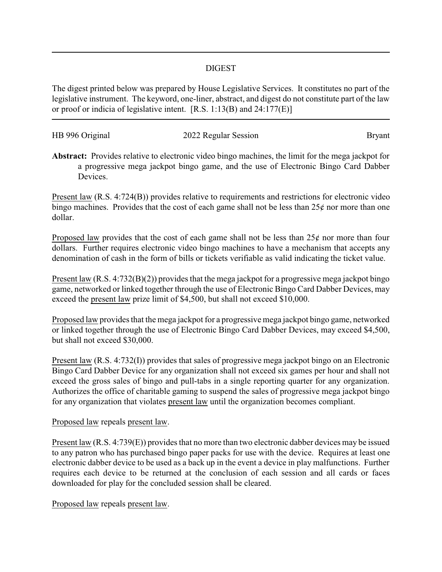## DIGEST

The digest printed below was prepared by House Legislative Services. It constitutes no part of the legislative instrument. The keyword, one-liner, abstract, and digest do not constitute part of the law or proof or indicia of legislative intent. [R.S. 1:13(B) and 24:177(E)]

| HB 996 Original | 2022 Regular Session | Bryant |
|-----------------|----------------------|--------|
|                 |                      |        |

**Abstract:** Provides relative to electronic video bingo machines, the limit for the mega jackpot for a progressive mega jackpot bingo game, and the use of Electronic Bingo Card Dabber Devices.

Present law (R.S. 4:724(B)) provides relative to requirements and restrictions for electronic video bingo machines. Provides that the cost of each game shall not be less than  $25¢$  nor more than one dollar.

Proposed law provides that the cost of each game shall not be less than  $25¢$  nor more than four dollars. Further requires electronic video bingo machines to have a mechanism that accepts any denomination of cash in the form of bills or tickets verifiable as valid indicating the ticket value.

Present law (R.S. 4:732(B)(2)) provides that the mega jackpot for a progressive mega jackpot bingo game, networked or linked together through the use of Electronic Bingo Card Dabber Devices, may exceed the present law prize limit of \$4,500, but shall not exceed \$10,000.

Proposed law provides that the mega jackpot for a progressive mega jackpot bingo game, networked or linked together through the use of Electronic Bingo Card Dabber Devices, may exceed \$4,500, but shall not exceed \$30,000.

Present law (R.S. 4:732(I)) provides that sales of progressive mega jackpot bingo on an Electronic Bingo Card Dabber Device for any organization shall not exceed six games per hour and shall not exceed the gross sales of bingo and pull-tabs in a single reporting quarter for any organization. Authorizes the office of charitable gaming to suspend the sales of progressive mega jackpot bingo for any organization that violates present law until the organization becomes compliant.

## Proposed law repeals present law.

Present law (R.S. 4:739(E)) provides that no more than two electronic dabber devices may be issued to any patron who has purchased bingo paper packs for use with the device. Requires at least one electronic dabber device to be used as a back up in the event a device in play malfunctions. Further requires each device to be returned at the conclusion of each session and all cards or faces downloaded for play for the concluded session shall be cleared.

Proposed law repeals present law.